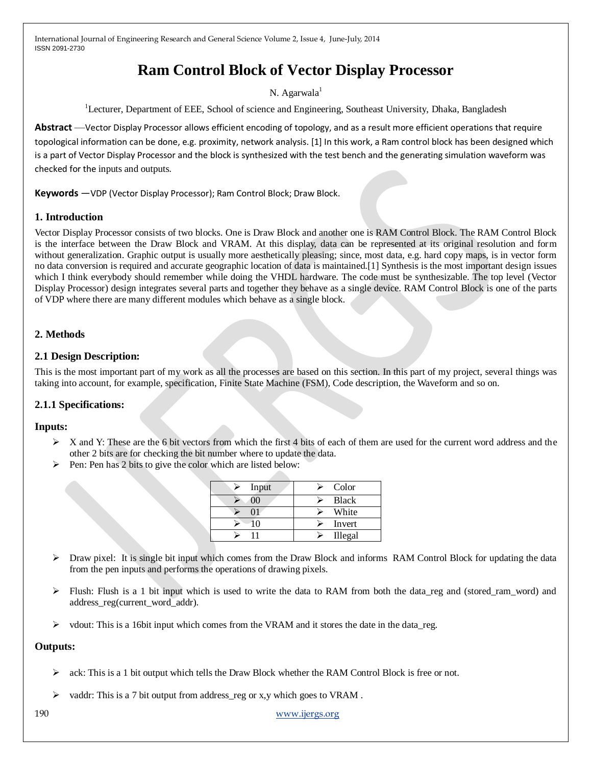# **Ram Control Block of Vector Display Processor**

## N. Agarwala $<sup>1</sup>$ </sup>

<sup>1</sup>Lecturer, Department of EEE, School of science and Engineering, Southeast University, Dhaka, Bangladesh

**Abstract** —Vector Display Processor allows efficient encoding of topology, and as a result more efficient operations that require topological information can be done, e.g. proximity, network analysis. [1] In this work, a Ram control block has been designed which is a part of Vector Display Processor and the block is synthesized with the test bench and the generating simulation waveform was checked for the inputs and outputs.

**Keywords** —VDP (Vector Display Processor); Ram Control Block; Draw Block.

## **1. Introduction**

Vector Display Processor consists of two blocks. One is Draw Block and another one is RAM Control Block. The RAM Control Block is the interface between the Draw Block and VRAM. At this display, data can be represented at its original resolution and form without generalization. Graphic output is usually more aesthetically pleasing; since, most data, e.g. hard copy maps, is in vector form no data conversion is required and accurate geographic location of data is maintained.[1] Synthesis is the most important design issues which I think everybody should remember while doing the VHDL hardware. The code must be synthesizable. The top level (Vector Display Processor) design integrates several parts and together they behave as a single device. RAM Control Block is one of the parts of VDP where there are many different modules which behave as a single block.

# **2. Methods**

# **2.1 Design Description:**

This is the most important part of my work as all the processes are based on this section. In this part of my project, several things was taking into account, for example, specification, Finite State Machine (FSM), Code description, the Waveform and so on.

## **2.1.1 Specifications:**

## **Inputs:**

- $\triangleright$  X and Y: These are the 6 bit vectors from which the first 4 bits of each of them are used for the current word address and the other 2 bits are for checking the bit number where to update the data.
- Pen: Pen has 2 bits to give the color which are listed below:

| Input      | Color        |
|------------|--------------|
| $($ $()()$ | <b>Black</b> |
|            | White        |
| 10         | Invert       |
|            | Illegal      |

- Draw pixel: It is single bit input which comes from the Draw Block and informs RAM Control Block for updating the data from the pen inputs and performs the operations of drawing pixels.
- Flush: Flush is a 1 bit input which is used to write the data to RAM from both the data\_reg and (stored\_ram\_word) and address\_reg(current\_word\_addr).
- $\triangleright$  vdout: This is a 16bit input which comes from the VRAM and it stores the date in the data reg.

## **Outputs:**

- ack: This is a 1 bit output which tells the Draw Block whether the RAM Control Block is free or not.
- vaddr: This is a 7 bit output from address\_reg or x,y which goes to VRAM .

190 [www.ijergs.org](http://www.ijergs.org/)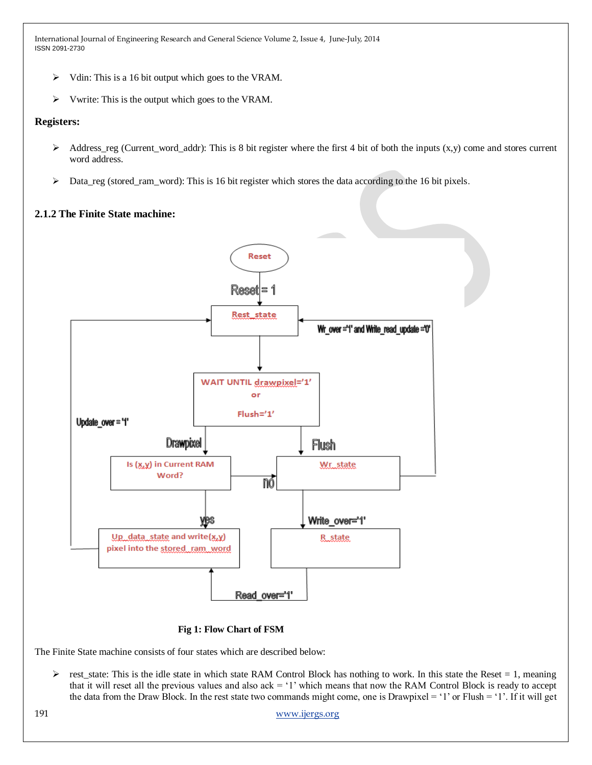- $\triangleright$  Vdin: This is a 16 bit output which goes to the VRAM.
- $\triangleright$  Vwrite: This is the output which goes to the VRAM.

#### **Registers:**

- Address\_reg (Current\_word\_addr): This is 8 bit register where the first 4 bit of both the inputs  $(x,y)$  come and stores current word address.
- $\triangleright$  Data\_reg (stored\_ram\_word): This is 16 bit register which stores the data according to the 16 bit pixels.

# **2.1.2 The Finite State machine:**



## **Fig 1: Flow Chart of FSM**

The Finite State machine consists of four states which are described below:

 $\triangleright$  rest\_state: This is the idle state in which state RAM Control Block has nothing to work. In this state the Reset = 1, meaning that it will reset all the previous values and also  $ack = 1$ ' which means that now the RAM Control Block is ready to accept the data from the Draw Block. In the rest state two commands might come, one is Drawpixel = '1' or Flush = '1'. If it will get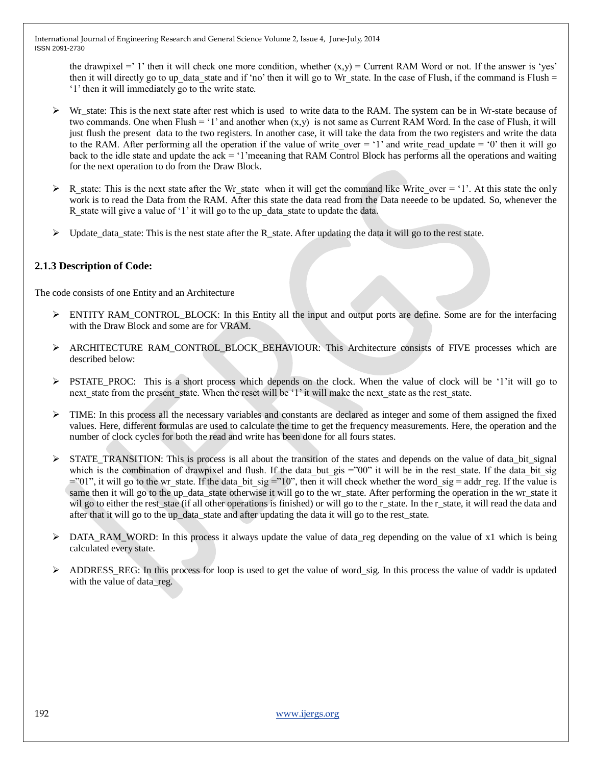the drawpixel = ' 1' then it will check one more condition, whether  $(x,y)$  = Current RAM Word or not. If the answer is 'yes' then it will directly go to up data state and if 'no' then it will go to Wr\_state. In the case of Flush, if the command is Flush  $=$ '1' then it will immediately go to the write state.

- $\triangleright$  Wr\_state: This is the next state after rest which is used to write data to the RAM. The system can be in Wr-state because of two commands. One when Flush = '1' and another when  $(x,y)$  is not same as Current RAM Word. In the case of Flush, it will just flush the present data to the two registers. In another case, it will take the data from the two registers and write the data to the RAM. After performing all the operation if the value of write over  $=$  '1' and write read update  $=$  '0' then it will go back to the idle state and update the ack = '1'meeaning that RAM Control Block has performs all the operations and waiting for the next operation to do from the Draw Block.
- R state: This is the next state after the Wr\_state when it will get the command like Write\_over = '1'. At this state the only work is to read the Data from the RAM. After this state the data read from the Data neeede to be updated. So, whenever the R\_state will give a value of '1' it will go to the up\_data\_state to update the data.
- $\triangleright$  Update\_data\_state: This is the nest state after the R\_state. After updating the data it will go to the rest state.

# **2.1.3 Description of Code:**

The code consists of one Entity and an Architecture

- $\triangleright$  ENTITY RAM\_CONTROL\_BLOCK: In this Entity all the input and output ports are define. Some are for the interfacing with the Draw Block and some are for VRAM.
- ARCHITECTURE RAM\_CONTROL\_BLOCK\_BEHAVIOUR: This Architecture consists of FIVE processes which are described below:
- $\triangleright$  PSTATE\_PROC: This is a short process which depends on the clock. When the value of clock will be '1'it will go to next state from the present state. When the reset will be '1' it will make the next state as the rest state.
- $\triangleright$  TIME: In this process all the necessary variables and constants are declared as integer and some of them assigned the fixed values. Here, different formulas are used to calculate the time to get the frequency measurements. Here, the operation and the number of clock cycles for both the read and write has been done for all fours states.
- $\triangleright$  STATE TRANSITION: This is process is all about the transition of the states and depends on the value of data bit signal which is the combination of drawpixel and flush. If the data but  $g$ is ="00" it will be in the rest state. If the data bit sig  $=$ "01", it will go to the wr\_state. If the data bit\_sig ="10", then it will check whether the word\_sig = addr\_reg. If the value is same then it will go to the up\_data\_state otherwise it will go to the wr\_state. After performing the operation in the wr\_state it wil go to either the rest\_stae (if all other operations is finished) or will go to the r\_state. In the r\_state, it will read the data and after that it will go to the up data state and after updating the data it will go to the rest state.
- $\triangleright$  DATA\_RAM\_WORD: In this process it always update the value of data\_reg depending on the value of x1 which is being calculated every state.
- $\triangleright$  ADDRESS\_REG: In this process for loop is used to get the value of word\_sig. In this process the value of vaddr is updated with the value of data reg.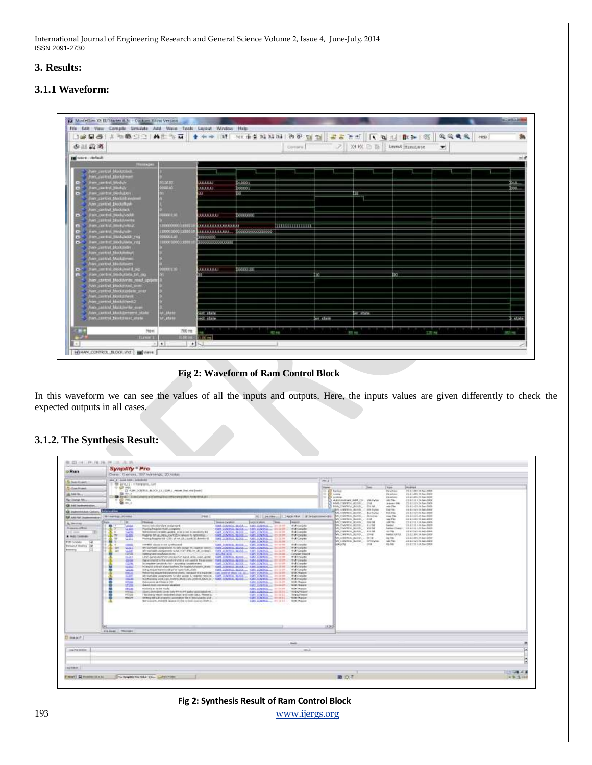# **3. Results:**

## **3.1.1 Waveform:**

| □编码器   X 和商业业   M   为两   ★ ★★   M   700 未生活照明   改更 型 型              |                                  |                           |                                 |                        | 書店 所当    |         | ■ 电型 ■ 一        | $\mathcal{R} \otimes \mathcal{R} \otimes \mathcal{R}$ |               |
|---------------------------------------------------------------------|----------------------------------|---------------------------|---------------------------------|------------------------|----------|---------|-----------------|-------------------------------------------------------|---------------|
| 中出資源                                                                |                                  |                           |                                 | Contare                |          | 之 双核目面  | Leyes& HimsLetz | 工                                                     |               |
| <b>IS now default</b>                                               |                                  |                           |                                 |                        |          |         |                 |                                                       |               |
| <b>TRIBAGHI</b>                                                     |                                  |                           |                                 |                        |          |         |                 |                                                       |               |
| has pertrait blockstone<br><b>Fairs control block from</b>          |                                  |                           |                                 |                        |          |         |                 |                                                       |               |
| <b>Jian control Module</b>                                          | <b>ILEASE</b>                    | <b>ARABA</b>              | VICOTI                          |                        |          |         |                 |                                                       | <b>VETATE</b> |
| Value James Judge                                                   | <b>Control</b>                   | <b>MARALES</b>            | 100001                          |                        |          |         |                 |                                                       | con.          |
| two control Seduters                                                | .                                |                           | <b>KO</b>                       |                        |          | œ       |                 |                                                       |               |
| Two control Mortish and me<br>News control Dock/Resk                |                                  |                           |                                 |                        |          |         |                 |                                                       |               |
| han control blockrack.                                              |                                  |                           |                                 |                        |          |         |                 |                                                       |               |
| <b>Jan control modelvaddi</b>                                       | <b>HERRICHE</b>                  | ,,,,,,,,                  | <b>MODERNI</b>                  |                        |          |         |                 |                                                       |               |
| veri control block/vierts                                           |                                  |                           |                                 |                        |          |         |                 |                                                       |               |
| Tues, contrat, Mech Avenue,<br>m<br>are control theologically       | 00000000100001<br>10001000120001 | <b>DECERECERED EXECUT</b> | <b>ALARALARARE TOOOOOOOOOOO</b> | <b>INTERNATIONALLY</b> |          |         |                 |                                                       |               |
| an unitar likelyhod year                                            | OCCOSSI                          | 3333330                   |                                 |                        |          |         |                 |                                                       |               |
| have continue brock/histor rang                                     | 10001000130011                   |                           |                                 |                        |          |         |                 |                                                       |               |
| <b>John purtrat block bides</b>                                     |                                  |                           |                                 |                        |          |         |                 |                                                       |               |
| Tradicional bridges was<br><b>New cristric Mackgover</b>            |                                  |                           |                                 |                        |          |         |                 |                                                       |               |
| <b>They printed blutchings</b>                                      |                                  |                           |                                 |                        |          |         |                 |                                                       |               |
| has setted bodywell so                                              | <b>CERTIFICATE</b>               | <b>ULEARAIL</b>           | <b>TOO HALL</b>                 |                        |          |         |                 |                                                       |               |
| June control block/table bit our                                    |                                  |                           |                                 |                        | tio.     |         | w               |                                                       |               |
| then control blookferring read upon<br>Fort control productives and |                                  |                           |                                 |                        |          |         |                 |                                                       |               |
| men control block tapdate anno-                                     |                                  |                           |                                 |                        |          |         |                 |                                                       |               |
| <b>Aven</b> , particul block threat                                 |                                  |                           |                                 |                        |          |         |                 |                                                       |               |
| New Jamese Modulate and                                             |                                  |                           |                                 |                        |          |         |                 |                                                       |               |
| Ave. parked Mackiwite ave.<br>Alex cardool block between sible      | <b>Calabo</b>                    | ait state                 |                                 |                        |          |         |                 |                                                       |               |
| draws carriers Hostzimst kinks                                      | <b>Catalo</b>                    | est state.                |                                 |                        | or state | er show |                 |                                                       | 1,500         |
|                                                                     |                                  |                           |                                 |                        |          |         |                 |                                                       |               |
| Notes                                                               | 700 mm                           |                           |                                 |                        |          |         |                 |                                                       | <b>UCI ma</b> |
| <b>Three</b> 1                                                      | <b>ILCO IN</b>                   | <b>C. Pitters</b>         | 67 nm                           |                        |          | \$50 mm | $10 - 10$       |                                                       |               |



In this waveform we can see the values of all the inputs and outputs. Here, the inputs values are given differently to check the expected outputs in all cases.

# **3.1.2. The Synthesis Result:**

|                                                                                                                                                           | Synplify * Pro<br>Octo: Corona, 107 Waterly, 20 Velker                                                                                                                                                                                                                                                                                                                                                                                                                                                                                                                                                                                                                                                                                                                                                                                                                                                                                                                                                                                                                                                                                                                                                                                                                                                                                                                                                                                                                                                                                                                                                                                                                                                                                                                                                                                                                                                                                                                                                                                                                                                                                                                                                                                                                                                                                                                                                                                                                                                                                                                                                                                                                                                                                                                                                                                                                                                                                                                                                                                                                                                                                                             |                                                                                                                                                                                                                                                                                                                                                                                                                                                                                               |            |  |  |  |  |  |  |  |  |
|-----------------------------------------------------------------------------------------------------------------------------------------------------------|--------------------------------------------------------------------------------------------------------------------------------------------------------------------------------------------------------------------------------------------------------------------------------------------------------------------------------------------------------------------------------------------------------------------------------------------------------------------------------------------------------------------------------------------------------------------------------------------------------------------------------------------------------------------------------------------------------------------------------------------------------------------------------------------------------------------------------------------------------------------------------------------------------------------------------------------------------------------------------------------------------------------------------------------------------------------------------------------------------------------------------------------------------------------------------------------------------------------------------------------------------------------------------------------------------------------------------------------------------------------------------------------------------------------------------------------------------------------------------------------------------------------------------------------------------------------------------------------------------------------------------------------------------------------------------------------------------------------------------------------------------------------------------------------------------------------------------------------------------------------------------------------------------------------------------------------------------------------------------------------------------------------------------------------------------------------------------------------------------------------------------------------------------------------------------------------------------------------------------------------------------------------------------------------------------------------------------------------------------------------------------------------------------------------------------------------------------------------------------------------------------------------------------------------------------------------------------------------------------------------------------------------------------------------------------------------------------------------------------------------------------------------------------------------------------------------------------------------------------------------------------------------------------------------------------------------------------------------------------------------------------------------------------------------------------------------------------------------------------------------------------------------------------------------|-----------------------------------------------------------------------------------------------------------------------------------------------------------------------------------------------------------------------------------------------------------------------------------------------------------------------------------------------------------------------------------------------------------------------------------------------------------------------------------------------|------------|--|--|--|--|--|--|--|--|
| <b>Di Ruan</b>                                                                                                                                            |                                                                                                                                                                                                                                                                                                                                                                                                                                                                                                                                                                                                                                                                                                                                                                                                                                                                                                                                                                                                                                                                                                                                                                                                                                                                                                                                                                                                                                                                                                                                                                                                                                                                                                                                                                                                                                                                                                                                                                                                                                                                                                                                                                                                                                                                                                                                                                                                                                                                                                                                                                                                                                                                                                                                                                                                                                                                                                                                                                                                                                                                                                                                                                    |                                                                                                                                                                                                                                                                                                                                                                                                                                                                                               |            |  |  |  |  |  |  |  |  |
| <b>IS GALFINDE</b>                                                                                                                                        | and # 1 mod like ; Alkakali                                                                                                                                                                                                                                                                                                                                                                                                                                                                                                                                                                                                                                                                                                                                                                                                                                                                                                                                                                                                                                                                                                                                                                                                                                                                                                                                                                                                                                                                                                                                                                                                                                                                                                                                                                                                                                                                                                                                                                                                                                                                                                                                                                                                                                                                                                                                                                                                                                                                                                                                                                                                                                                                                                                                                                                                                                                                                                                                                                                                                                                                                                                                        | $+1.1$                                                                                                                                                                                                                                                                                                                                                                                                                                                                                        |            |  |  |  |  |  |  |  |  |
|                                                                                                                                                           | (B) Lane, r) : cripatament, Juan<br>$= 12.744$                                                                                                                                                                                                                                                                                                                                                                                                                                                                                                                                                                                                                                                                                                                                                                                                                                                                                                                                                                                                                                                                                                                                                                                                                                                                                                                                                                                                                                                                                                                                                                                                                                                                                                                                                                                                                                                                                                                                                                                                                                                                                                                                                                                                                                                                                                                                                                                                                                                                                                                                                                                                                                                                                                                                                                                                                                                                                                                                                                                                                                                                                                                     | 1146<br>Tom.<br><b>JOHNAMA</b><br><b>There</b>                                                                                                                                                                                                                                                                                                                                                                                                                                                |            |  |  |  |  |  |  |  |  |
| <b>Continent</b>                                                                                                                                          | El CIP, COVILLE, MASS. 13, JAMES, Hanne Brainfall (1998).                                                                                                                                                                                                                                                                                                                                                                                                                                                                                                                                                                                                                                                                                                                                                                                                                                                                                                                                                                                                                                                                                                                                                                                                                                                                                                                                                                                                                                                                                                                                                                                                                                                                                                                                                                                                                                                                                                                                                                                                                                                                                                                                                                                                                                                                                                                                                                                                                                                                                                                                                                                                                                                                                                                                                                                                                                                                                                                                                                                                                                                                                                          | 10 AT NAME<br>23-11 00:18 36-1988<br><b>CANDRO</b>                                                                                                                                                                                                                                                                                                                                                                                                                                            |            |  |  |  |  |  |  |  |  |
| ALCOHOL: U                                                                                                                                                | <b>Ell</b> dan a<br><b>BE FINE - EXECUTIVES AND REPAIR OF PROVIDING FERENTIALS</b>                                                                                                                                                                                                                                                                                                                                                                                                                                                                                                                                                                                                                                                                                                                                                                                                                                                                                                                                                                                                                                                                                                                                                                                                                                                                                                                                                                                                                                                                                                                                                                                                                                                                                                                                                                                                                                                                                                                                                                                                                                                                                                                                                                                                                                                                                                                                                                                                                                                                                                                                                                                                                                                                                                                                                                                                                                                                                                                                                                                                                                                                                 | 11 ED Lewis<br>23 11 48 19 Jan-2004<br>Orechaer<br>which a structure and change interior-<br>14 El series<br><b>Chrysler</b>                                                                                                                                                                                                                                                                                                                                                                  |            |  |  |  |  |  |  |  |  |
| <b>Ra Cheven Film</b>                                                                                                                                     | $\frac{1}{2}$ $\frac{1}{2}$                                                                                                                                                                                                                                                                                                                                                                                                                                                                                                                                                                                                                                                                                                                                                                                                                                                                                                                                                                                                                                                                                                                                                                                                                                                                                                                                                                                                                                                                                                                                                                                                                                                                                                                                                                                                                                                                                                                                                                                                                                                                                                                                                                                                                                                                                                                                                                                                                                                                                                                                                                                                                                                                                                                                                                                                                                                                                                                                                                                                                                                                                                                                        | 22111115-00-009<br>D<br>A FOUR-ROAD AND JUST 2012 MAIN WAY<br><b>ARTIST</b><br>A AALCOMBIC AUSS  114<br><b>Breakly</b><br>21413745-56-500                                                                                                                                                                                                                                                                                                                                                     |            |  |  |  |  |  |  |  |  |
| <b>QB</b> hat instrumention.                                                                                                                              |                                                                                                                                                                                                                                                                                                                                                                                                                                                                                                                                                                                                                                                                                                                                                                                                                                                                                                                                                                                                                                                                                                                                                                                                                                                                                                                                                                                                                                                                                                                                                                                                                                                                                                                                                                                                                                                                                                                                                                                                                                                                                                                                                                                                                                                                                                                                                                                                                                                                                                                                                                                                                                                                                                                                                                                                                                                                                                                                                                                                                                                                                                                                                                    | A RAN CONTROL ALCOHOL 2011A<br>min-Film<br>33 12 4 2 1 4 - Jan 1004<br>the Long and Lat. Joseph<br><b>Saints</b>                                                                                                                                                                                                                                                                                                                                                                              |            |  |  |  |  |  |  |  |  |
| <b>QE Insterministic Options</b>                                                                                                                          | <b>Historica</b>                                                                                                                                                                                                                                                                                                                                                                                                                                                                                                                                                                                                                                                                                                                                                                                                                                                                                                                                                                                                                                                                                                                                                                                                                                                                                                                                                                                                                                                                                                                                                                                                                                                                                                                                                                                                                                                                                                                                                                                                                                                                                                                                                                                                                                                                                                                                                                                                                                                                                                                                                                                                                                                                                                                                                                                                                                                                                                                                                                                                                                                                                                                                                   | MUDWEST BOOT  ANDER<br>101.746<br>23 11 12 13 14 16 16 17 18 18                                                                                                                                                                                                                                                                                                                                                                                                                               |            |  |  |  |  |  |  |  |  |
| <b>BA</b> AALFAC INGINEERING                                                                                                                              | that:<br><b>NY HATERS: IN HAND</b><br>31.11.34784 (c)<br>PRIVAGE<br><b>Assets</b>                                                                                                                                                                                                                                                                                                                                                                                                                                                                                                                                                                                                                                                                                                                                                                                                                                                                                                                                                                                                                                                                                                                                                                                                                                                                                                                                                                                                                                                                                                                                                                                                                                                                                                                                                                                                                                                                                                                                                                                                                                                                                                                                                                                                                                                                                                                                                                                                                                                                                                                                                                                                                                                                                                                                                                                                                                                                                                                                                                                                                                                                                  | 400 Mal 3: Middleswoods Br Control 8000  Silvers<br>2141111414<br><b>Day File</b><br>Girl 1-10 yrs Jun 2000<br>are constant dealer also<br>say Fer<br><b>BACCONTROL BUTCH, Institut</b><br>of the<br>TO LETTER AN ARM                                                                                                                                                                                                                                                                         |            |  |  |  |  |  |  |  |  |
| AL INVESTIGATI<br>President of AAL<br><b>All comments</b><br>· Audio Constitution<br><b>PSR Circulas</b><br><b>Import Roads</b><br>ы<br><b>STATISTICS</b> | Foreign Februari announce<br>RAN CONTROL BLOCK  RAN CONTROL  27 17 18<br>Vid course<br><b>STAN</b><br>a.<br>Pounting Response Wash, Longbolle-<br>Gilmi<br>FAM 2009-21-31200 - FAM 2007-21-2 2012-28<br><b>Mid Galader</b><br>build parties a detailed capable. In this crisis in assumed a dis-<br>GELONGIA, ROSE - GELONGIA - FORMA<br>Mail Liamento<br>1409<br><b>CLAIR</b><br>Higginal for Lip Units, Joseph Ford Medicine, Appending 177<br><b>Well consider</b><br><b>INC</b><br>$\alpha$ m<br>Foreign Engineer for CITY of no UR colored ST develop at<br>1964 DONALD, ROOK  AND CONTRACT THEFT<br>Mid Column<br>÷<br>A 44 LONGIN CO STARTED<br><b>FOR MILE AND RESIDENCE INTO AN ART</b><br><b>SHILLING BOOK &amp; SHILLING &amp; STORE</b><br>that computer<br>$-1$<br>Wrashidan potentials funds were 15, nastareancy, data column, state  has column,  To color<br>Will Corante<br>ter<br><b>GULL</b><br><b>ITE</b><br>Western express to M or Dilling A count. (INCONSTANCE), AND CATALL, THERE<br><b>Mail Currente:</b><br><b>CLIO</b><br>rantal<br>liadeny nave treshabes as no.<br>Gangder Hannet<br>MACHINERY TO THE SAN COUNTY - HOTCHES<br>calir.<br>ENVIT-Serve selections process for sup-a vehicle and Labour.<br><b>SHI DAVIS BUSINE SHADARILE TEAMS</b><br>Well conjune:<br><b>Nikel Comprès</b><br><b>COOK</b><br>Dated United by the constitution is not control the exercise. If and JUNEAULA ALCOHOL: A RAN JUNEAULA - 2011 (1997).<br>Expression amales for 14 - Analytics constitutions<br>GELOWICAL MOSTLY FOR COMPOSITION STATES<br><b>Visit Garanter</b><br><b>GATE</b><br>16.81<br>POOR OR AND AND CAR CARPEN THIS SUBMIT COMMITTEE IS TO SERVE TO A RELEASE TO A RELEASE.<br><b>Mid-Harader</b><br>siles all allowed relationship and tax paintings.<br>FAIR CONSUL BLUCK  HAR LONDLE  211 01 011<br><b>Well Consider</b><br><b>COLLEGE</b><br>Religious assembly district states and the service of the marketing company state. All 12. Total CONTROL  The CONTROL<br>TEGOVALIST<br>特性点<br>AR WARNER AVAILABLE START ANNE A, LEGAN TROUGH . CAST, LLASSIN, MUSIC  CAST, LLASSIN,  2014-010<br><b>Well complete</b><br><b>GAS</b><br>SARGERY HAVE THE THEFT MAKING CORRECTED AT THE CONTROL BLIZZ  THAT CURRICLE  THAT IS NO<br>Mid-chainer<br><b>CALLE</b><br>Pulsecateda em Mode in OM<br><b>GOLF</b> Flassen<br>of Show<br><b>BAM CORPUS  ISLEEPS</b><br>stress<br>shakatak desain penginanyakan alan aktirak<br><b>FASTOSTOR</b> TO ELECT<br>TOO Places<br>business to its air south.<br><b>NRLUNDAL COURS</b><br><b>DOCUMENT</b><br>17111<br><b>STEEL</b><br>(State a Anarka and a Checke lastly FR to 197 pathol assess total area.)<br>RADE GORTNIA (  TOLER BELL<br><b>Bod's Presid</b><br><b>HTME</b><br>This inverty rescal instance a place well wide data. Reveal is,<br>Tory suffreeed:<br>THE CONTROL - HOTCH-<br><b>Halicity</b><br>delinery lead to all principality successful and an information and all<br>TODAY (Rappar)<br>SHIT COURSE - STOLET -<br>air peach, middi again (00) pilmi ispici vind a.<br><b>BOONHOUSE</b><br><b>HARLOUGHLAND STILLERS</b><br>an.<br><b>MASSIN</b><br>ЪT<br>TO SAN - Morrer | BALCOMIROL BOOK  . 11/14<br><b>Lankel</b><br>21.11.11 to Jan 2000<br>An CHAPROL MODEL  VISITAL<br><b>Landon (Game)</b><br>24 km k 14 Sec 2000<br>BALLYMOREA MARINE  and lat.<br>ALCOHOL: NUMBER<br>contribu-<br>MUSHINAJNOS  1948<br>23 11 M 18 Air-2004<br>TAKAR GRIS L<br>MILCONTROL BUILD  IN HE<br>21118919 Jan 2000<br>ing File<br><b>MCCONTROL BUILD - SPINNING</b><br><b>GALITAL</b><br>All sense in January.<br>118<br><b>Highland</b><br>01111111A.06-2008<br><b>BEAULTS</b><br>1111 |            |  |  |  |  |  |  |  |  |
| Ti monte (F)                                                                                                                                              |                                                                                                                                                                                                                                                                                                                                                                                                                                                                                                                                                                                                                                                                                                                                                                                                                                                                                                                                                                                                                                                                                                                                                                                                                                                                                                                                                                                                                                                                                                                                                                                                                                                                                                                                                                                                                                                                                                                                                                                                                                                                                                                                                                                                                                                                                                                                                                                                                                                                                                                                                                                                                                                                                                                                                                                                                                                                                                                                                                                                                                                                                                                                                                    |                                                                                                                                                                                                                                                                                                                                                                                                                                                                                               |            |  |  |  |  |  |  |  |  |
|                                                                                                                                                           | <b>Javan</b>                                                                                                                                                                                                                                                                                                                                                                                                                                                                                                                                                                                                                                                                                                                                                                                                                                                                                                                                                                                                                                                                                                                                                                                                                                                                                                                                                                                                                                                                                                                                                                                                                                                                                                                                                                                                                                                                                                                                                                                                                                                                                                                                                                                                                                                                                                                                                                                                                                                                                                                                                                                                                                                                                                                                                                                                                                                                                                                                                                                                                                                                                                                                                       |                                                                                                                                                                                                                                                                                                                                                                                                                                                                                               |            |  |  |  |  |  |  |  |  |
| con Permanent                                                                                                                                             | me.2.                                                                                                                                                                                                                                                                                                                                                                                                                                                                                                                                                                                                                                                                                                                                                                                                                                                                                                                                                                                                                                                                                                                                                                                                                                                                                                                                                                                                                                                                                                                                                                                                                                                                                                                                                                                                                                                                                                                                                                                                                                                                                                                                                                                                                                                                                                                                                                                                                                                                                                                                                                                                                                                                                                                                                                                                                                                                                                                                                                                                                                                                                                                                                              |                                                                                                                                                                                                                                                                                                                                                                                                                                                                                               |            |  |  |  |  |  |  |  |  |
|                                                                                                                                                           |                                                                                                                                                                                                                                                                                                                                                                                                                                                                                                                                                                                                                                                                                                                                                                                                                                                                                                                                                                                                                                                                                                                                                                                                                                                                                                                                                                                                                                                                                                                                                                                                                                                                                                                                                                                                                                                                                                                                                                                                                                                                                                                                                                                                                                                                                                                                                                                                                                                                                                                                                                                                                                                                                                                                                                                                                                                                                                                                                                                                                                                                                                                                                                    |                                                                                                                                                                                                                                                                                                                                                                                                                                                                                               |            |  |  |  |  |  |  |  |  |
|                                                                                                                                                           |                                                                                                                                                                                                                                                                                                                                                                                                                                                                                                                                                                                                                                                                                                                                                                                                                                                                                                                                                                                                                                                                                                                                                                                                                                                                                                                                                                                                                                                                                                                                                                                                                                                                                                                                                                                                                                                                                                                                                                                                                                                                                                                                                                                                                                                                                                                                                                                                                                                                                                                                                                                                                                                                                                                                                                                                                                                                                                                                                                                                                                                                                                                                                                    |                                                                                                                                                                                                                                                                                                                                                                                                                                                                                               |            |  |  |  |  |  |  |  |  |
| as it as a                                                                                                                                                |                                                                                                                                                                                                                                                                                                                                                                                                                                                                                                                                                                                                                                                                                                                                                                                                                                                                                                                                                                                                                                                                                                                                                                                                                                                                                                                                                                                                                                                                                                                                                                                                                                                                                                                                                                                                                                                                                                                                                                                                                                                                                                                                                                                                                                                                                                                                                                                                                                                                                                                                                                                                                                                                                                                                                                                                                                                                                                                                                                                                                                                                                                                                                                    |                                                                                                                                                                                                                                                                                                                                                                                                                                                                                               |            |  |  |  |  |  |  |  |  |
|                                                                                                                                                           |                                                                                                                                                                                                                                                                                                                                                                                                                                                                                                                                                                                                                                                                                                                                                                                                                                                                                                                                                                                                                                                                                                                                                                                                                                                                                                                                                                                                                                                                                                                                                                                                                                                                                                                                                                                                                                                                                                                                                                                                                                                                                                                                                                                                                                                                                                                                                                                                                                                                                                                                                                                                                                                                                                                                                                                                                                                                                                                                                                                                                                                                                                                                                                    |                                                                                                                                                                                                                                                                                                                                                                                                                                                                                               | 113108-013 |  |  |  |  |  |  |  |  |